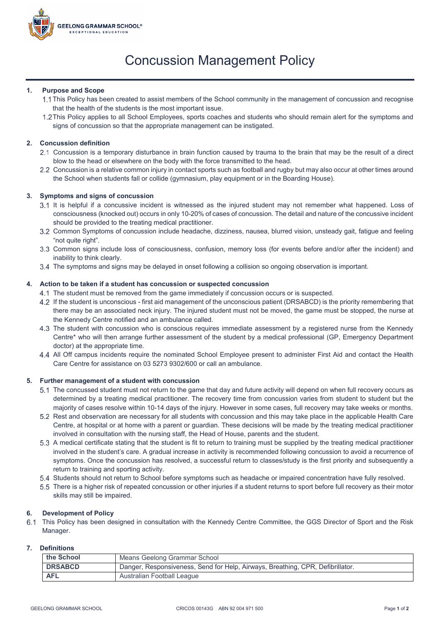

# Concussion Management Policy

#### **1. Purpose and Scope**

- This Policy has been created to assist members of the School community in the management of concussion and recognise that the health of the students is the most important issue.
- 1.2 This Policy applies to all School Employees, sports coaches and students who should remain alert for the symptoms and signs of concussion so that the appropriate management can be instigated.

### **2. Concussion definition**

- Concussion is a temporary disturbance in brain function caused by trauma to the brain that may be the result of a direct blow to the head or elsewhere on the body with the force transmitted to the head.
- Concussion is a relative common injury in contact sports such as football and rugby but may also occur at other times around the School when students fall or collide (gymnasium, play equipment or in the Boarding House).

## **3. Symptoms and signs of concussion**

- 3.1 It is helpful if a concussive incident is witnessed as the injured student may not remember what happened. Loss of consciousness (knocked out) occurs in only 10-20% of cases of concussion. The detail and nature of the concussive incident should be provided to the treating medical practitioner.
- Common Symptoms of concussion include headache, dizziness, nausea, blurred vision, unsteady gait, fatigue and feeling "not quite right".
- Common signs include loss of consciousness, confusion, memory loss (for events before and/or after the incident) and inability to think clearly.
- 3.4 The symptoms and signs may be delayed in onset following a collision so ongoing observation is important.

#### **4. Action to be taken if a student has concussion or suspected concussion**

- The student must be removed from the game immediately if concussion occurs or is suspected.
- If the student is unconscious first aid management of the unconscious patient (DRSABCD) is the priority remembering that there may be an associated neck injury. The injured student must not be moved, the game must be stopped, the nurse at the Kennedy Centre notified and an ambulance called.
- The student with concussion who is conscious requires immediate assessment by a registered nurse from the Kennedy Centre\* who will then arrange further assessment of the student by a medical professional (GP, Emergency Department doctor) at the appropriate time.
- All Off campus incidents require the nominated School Employee present to administer First Aid and contact the Health Care Centre for assistance on 03 5273 9302/600 or call an ambulance.

#### **5. Further management of a student with concussion**

- The concussed student must not return to the game that day and future activity will depend on when full recovery occurs as determined by a treating medical practitioner. The recovery time from concussion varies from student to student but the majority of cases resolve within 10-14 days of the injury. However in some cases, full recovery may take weeks or months.
- 5.2 Rest and observation are necessary for all students with concussion and this may take place in the applicable Health Care Centre, at hospital or at home with a parent or guardian. These decisions will be made by the treating medical practitioner involved in consultation with the nursing staff, the Head of House, parents and the student.
- A medical certificate stating that the student is fit to return to training must be supplied by the treating medical practitioner involved in the student's care. A gradual increase in activity is recommended following concussion to avoid a recurrence of symptoms. Once the concussion has resolved, a successful return to classes/study is the first priority and subsequently a return to training and sporting activity.
- Students should not return to School before symptoms such as headache or impaired concentration have fully resolved.
- There is a higher risk of repeated concussion or other injuries if a student returns to sport before full recovery as their motor skills may still be impaired.

#### **6. Development of Policy**

This Policy has been designed in consultation with the Kennedy Centre Committee, the GGS Director of Sport and the Risk Manager.

#### **7. Definitions**

| the School     | Means Geelong Grammar School                                                   |
|----------------|--------------------------------------------------------------------------------|
| <b>DRSABCD</b> | Danger, Responsiveness, Send for Help, Airways, Breathing, CPR, Defibrillator. |
| <b>AFL</b>     | Australian Football League                                                     |